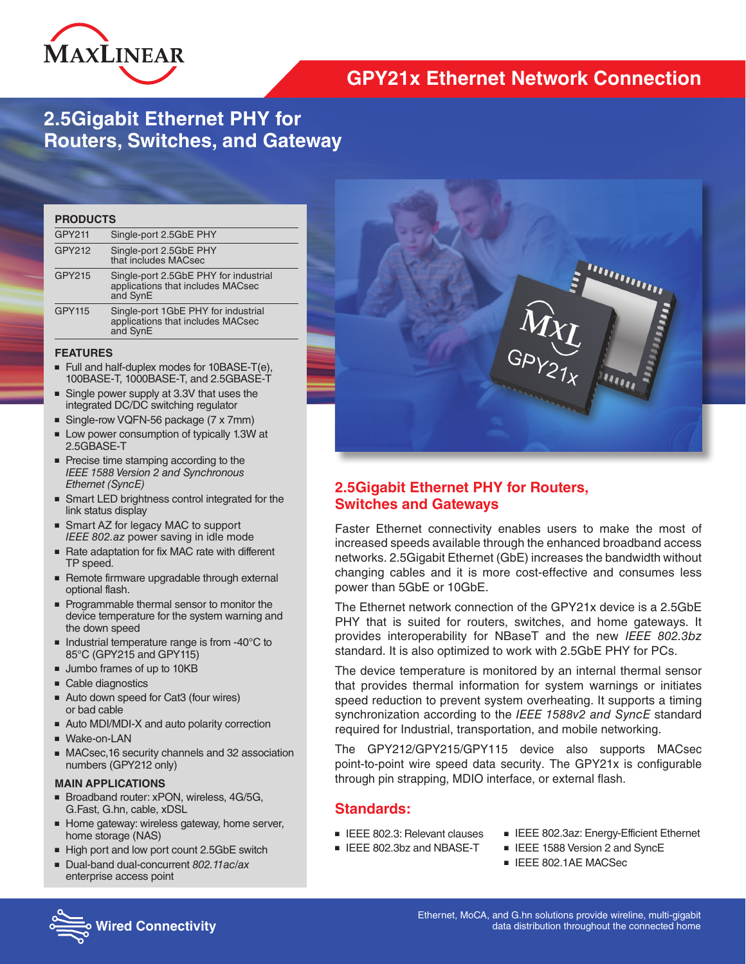

# **GPY21x Ethernet Network Connection**

# **2.5Gigabit Ethernet PHY for Routers, Switches, and Gateway**

| <b>PRODUCTS</b> |                                                                                        |  |  |
|-----------------|----------------------------------------------------------------------------------------|--|--|
| GPY211          | Single-port 2.5GbE PHY                                                                 |  |  |
| GPY212          | Single-port 2.5GbE PHY<br>that includes MACsec                                         |  |  |
| GPY215          | Single-port 2.5GbE PHY for industrial<br>applications that includes MACsec<br>and SynE |  |  |
| <b>GPY115</b>   | Single-port 1GbE PHY for industrial<br>applications that includes MACsec<br>and SynE   |  |  |
|                 |                                                                                        |  |  |

#### **FEATURES**

- Full and half-duplex modes for 10BASE-T(e), 100BASE-T, 1000BASE-T, and 2.5GBASE-T
- Single power supply at 3.3V that uses the integrated DC/DC switching regulator
- Single-row VQFN-56 package (7 x 7mm)
- Low power consumption of typically 1.3W at 2.5GBASE-T
- Precise time stamping according to the *IEEE 1588 Version 2 and Synchronous Ethernet (SyncE)*
- Smart LED brightness control integrated for the link status display
- Smart AZ for legacy MAC to support *IEEE 802.az* power saving in idle mode
- Rate adaptation for fix MAC rate with different TP speed.
- Remote firmware upgradable through external optional flash.
- Programmable thermal sensor to monitor the device temperature for the system warning and the down speed
- Industrial temperature range is from -40°C to 85°C (GPY215 and GPY115)
- Jumbo frames of up to 10KB
- Cable diagnostics
- Auto down speed for Cat3 (four wires) or bad cable
- Auto MDI/MDI-X and auto polarity correction
- Wake-on-LAN
- MACsec, 16 security channels and 32 association numbers (GPY212 only)

#### **MAIN APPLICATIONS**

- Broadband router: xPON, wireless, 4G/5G, G.Fast, G.hn, cable, xDSL
- Home gateway: wireless gateway, home server, home storage (NAS)
- High port and low port count 2.5GbE switch
- Dual-band dual-concurrent *802.11ac/ax* enterprise access point



## **2.5Gigabit Ethernet PHY for Routers, Switches and Gateways**

Faster Ethernet connectivity enables users to make the most of increased speeds available through the enhanced broadband access networks. 2.5Gigabit Ethernet (GbE) increases the bandwidth without changing cables and it is more cost-effective and consumes less power than 5GbE or 10GbE.

The Ethernet network connection of the GPY21x device is a 2.5GbE PHY that is suited for routers, switches, and home gateways. It provides interoperability for NBaseT and the new *IEEE 802.3bz*  standard. It is also optimized to work with 2.5GbE PHY for PCs.

The device temperature is monitored by an internal thermal sensor that provides thermal information for system warnings or initiates speed reduction to prevent system overheating. It supports a timing synchronization according to the *IEEE 1588v2 and SyncE* standard required for Industrial, transportation, and mobile networking.

The GPY212/GPY215/GPY115 device also supports MACsec point-to-point wire speed data security. The GPY21x is configurable through pin strapping, MDIO interface, or external flash.

### **Standards:**

- IFFF 802.3: Relevant clauses
- IEEE 802.3bz and NBASE-T
- IEEE 802.3az: Energy-Efficient Ethernet
- IEEE 1588 Version 2 and SyncE
- IEEE 802.1AE MACSec